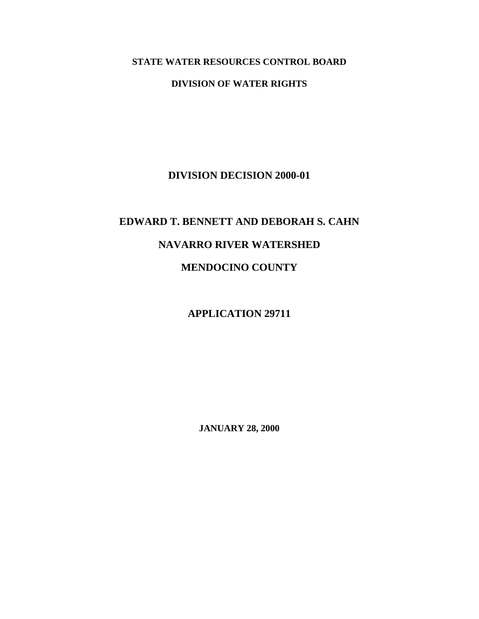## **STATE WATER RESOURCES CONTROL BOARD**

## **DIVISION OF WATER RIGHTS**

**DIVISION DECISION 2000-01** 

## **EDWARD T. BENNETT AND DEBORAH S. CAHN NAVARRO RIVER WATERSHED MENDOCINO COUNTY**

**APPLICATION 29711** 

**JANUARY 28, 2000**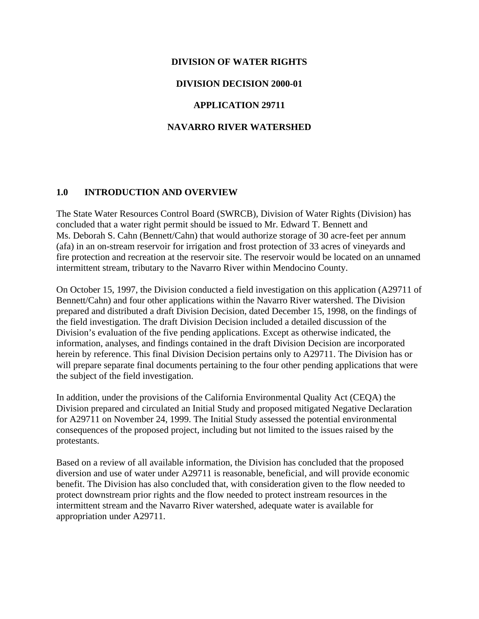# **DIVISION OF WATER RIGHTS DIVISION DECISION 2000-01 APPLICATION 29711 NAVARRO RIVER WATERSHED**

## **1.0 INTRODUCTION AND OVERVIEW**

The State Water Resources Control Board (SWRCB), Division of Water Rights (Division) has concluded that a water right permit should be issued to Mr. Edward T. Bennett and Ms. Deborah S. Cahn (Bennett/Cahn) that would authorize storage of 30 acre-feet per annum (afa) in an on-stream reservoir for irrigation and frost protection of 33 acres of vineyards and fire protection and recreation at the reservoir site. The reservoir would be located on an unnamed intermittent stream, tributary to the Navarro River within Mendocino County.

On October 15, 1997, the Division conducted a field investigation on this application (A29711 of Bennett/Cahn) and four other applications within the Navarro River watershed. The Division prepared and distributed a draft Division Decision, dated December 15, 1998, on the findings of the field investigation. The draft Division Decision included a detailed discussion of the Division's evaluation of the five pending applications. Except as otherwise indicated, the information, analyses, and findings contained in the draft Division Decision are incorporated herein by reference. This final Division Decision pertains only to A29711. The Division has or will prepare separate final documents pertaining to the four other pending applications that were the subject of the field investigation.

In addition, under the provisions of the California Environmental Quality Act (CEQA) the Division prepared and circulated an Initial Study and proposed mitigated Negative Declaration for A29711 on November 24, 1999. The Initial Study assessed the potential environmental consequences of the proposed project, including but not limited to the issues raised by the protestants.

Based on a review of all available information, the Division has concluded that the proposed diversion and use of water under A29711 is reasonable, beneficial, and will provide economic benefit. The Division has also concluded that, with consideration given to the flow needed to protect downstream prior rights and the flow needed to protect instream resources in the intermittent stream and the Navarro River watershed, adequate water is available for appropriation under A29711.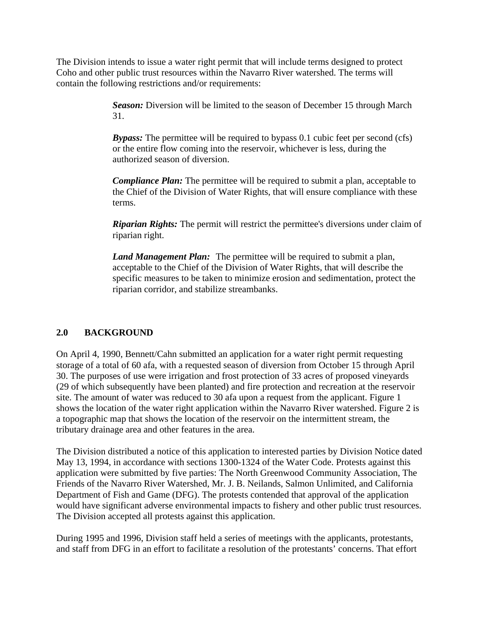The Division intends to issue a water right permit that will include terms designed to protect Coho and other public trust resources within the Navarro River watershed. The terms will contain the following restrictions and/or requirements:

> *Season:* Diversion will be limited to the season of December 15 through March 31.

> **Bypass:** The permittee will be required to bypass 0.1 cubic feet per second (cfs) or the entire flow coming into the reservoir, whichever is less, during the authorized season of diversion.

*Compliance Plan:* The permittee will be required to submit a plan, acceptable to the Chief of the Division of Water Rights, that will ensure compliance with these terms.

*Riparian Rights:* The permit will restrict the permittee's diversions under claim of riparian right.

*Land Management Plan:* The permittee will be required to submit a plan, acceptable to the Chief of the Division of Water Rights, that will describe the specific measures to be taken to minimize erosion and sedimentation, protect the riparian corridor, and stabilize streambanks.

## **2.0 BACKGROUND**

On April 4, 1990, Bennett/Cahn submitted an application for a water right permit requesting storage of a total of 60 afa, with a requested season of diversion from October 15 through April 30. The purposes of use were irrigation and frost protection of 33 acres of proposed vineyards (29 of which subsequently have been planted) and fire protection and recreation at the reservoir site. The amount of water was reduced to 30 afa upon a request from the applicant. Figure 1 shows the location of the water right application within the Navarro River watershed. Figure 2 is a topographic map that shows the location of the reservoir on the intermittent stream, the tributary drainage area and other features in the area.

The Division distributed a notice of this application to interested parties by Division Notice dated May 13, 1994, in accordance with sections 1300-1324 of the Water Code. Protests against this application were submitted by five parties: The North Greenwood Community Association, The Friends of the Navarro River Watershed, Mr. J. B. Neilands, Salmon Unlimited, and California Department of Fish and Game (DFG). The protests contended that approval of the application would have significant adverse environmental impacts to fishery and other public trust resources. The Division accepted all protests against this application.

During 1995 and 1996, Division staff held a series of meetings with the applicants, protestants, and staff from DFG in an effort to facilitate a resolution of the protestants' concerns. That effort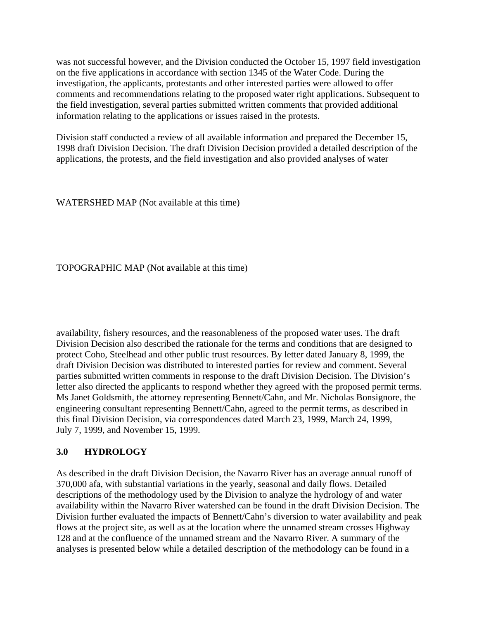was not successful however, and the Division conducted the October 15, 1997 field investigation on the five applications in accordance with section 1345 of the Water Code. During the investigation, the applicants, protestants and other interested parties were allowed to offer comments and recommendations relating to the proposed water right applications. Subsequent to the field investigation, several parties submitted written comments that provided additional information relating to the applications or issues raised in the protests.

Division staff conducted a review of all available information and prepared the December 15, 1998 draft Division Decision. The draft Division Decision provided a detailed description of the applications, the protests, and the field investigation and also provided analyses of water

WATERSHED MAP (Not available at this time)

TOPOGRAPHIC MAP (Not available at this time)

availability, fishery resources, and the reasonableness of the proposed water uses. The draft Division Decision also described the rationale for the terms and conditions that are designed to protect Coho, Steelhead and other public trust resources. By letter dated January 8, 1999, the draft Division Decision was distributed to interested parties for review and comment. Several parties submitted written comments in response to the draft Division Decision. The Division's letter also directed the applicants to respond whether they agreed with the proposed permit terms. Ms Janet Goldsmith, the attorney representing Bennett/Cahn, and Mr. Nicholas Bonsignore, the engineering consultant representing Bennett/Cahn, agreed to the permit terms, as described in this final Division Decision, via correspondences dated March 23, 1999, March 24, 1999, July 7, 1999, and November 15, 1999.

### **3.0 HYDROLOGY**

As described in the draft Division Decision, the Navarro River has an average annual runoff of 370,000 afa, with substantial variations in the yearly, seasonal and daily flows. Detailed descriptions of the methodology used by the Division to analyze the hydrology of and water availability within the Navarro River watershed can be found in the draft Division Decision. The Division further evaluated the impacts of Bennett/Cahn's diversion to water availability and peak flows at the project site, as well as at the location where the unnamed stream crosses Highway 128 and at the confluence of the unnamed stream and the Navarro River. A summary of the analyses is presented below while a detailed description of the methodology can be found in a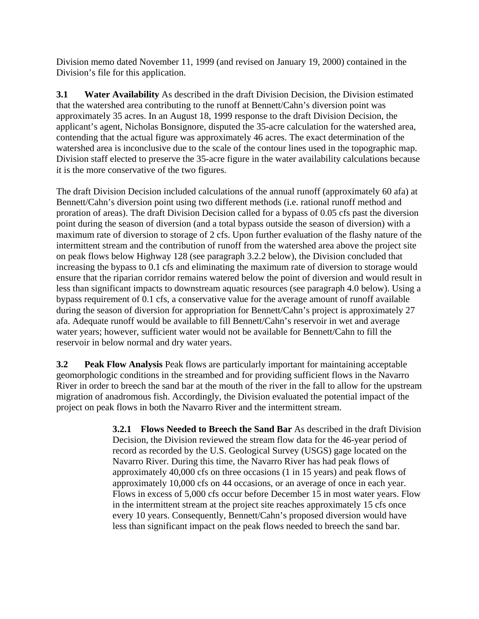Division memo dated November 11, 1999 (and revised on January 19, 2000) contained in the Division's file for this application.

**3.1 Water Availability** As described in the draft Division Decision, the Division estimated that the watershed area contributing to the runoff at Bennett/Cahn's diversion point was approximately 35 acres. In an August 18, 1999 response to the draft Division Decision, the applicant's agent, Nicholas Bonsignore, disputed the 35-acre calculation for the watershed area, contending that the actual figure was approximately 46 acres. The exact determination of the watershed area is inconclusive due to the scale of the contour lines used in the topographic map. Division staff elected to preserve the 35-acre figure in the water availability calculations because it is the more conservative of the two figures.

The draft Division Decision included calculations of the annual runoff (approximately 60 afa) at Bennett/Cahn's diversion point using two different methods (i.e. rational runoff method and proration of areas). The draft Division Decision called for a bypass of 0.05 cfs past the diversion point during the season of diversion (and a total bypass outside the season of diversion) with a maximum rate of diversion to storage of 2 cfs. Upon further evaluation of the flashy nature of the intermittent stream and the contribution of runoff from the watershed area above the project site on peak flows below Highway 128 (see paragraph 3.2.2 below), the Division concluded that increasing the bypass to 0.1 cfs and eliminating the maximum rate of diversion to storage would ensure that the riparian corridor remains watered below the point of diversion and would result in less than significant impacts to downstream aquatic resources (see paragraph 4.0 below). Using a bypass requirement of 0.1 cfs, a conservative value for the average amount of runoff available during the season of diversion for appropriation for Bennett/Cahn's project is approximately 27 afa. Adequate runoff would be available to fill Bennett/Cahn's reservoir in wet and average water years; however, sufficient water would not be available for Bennett/Cahn to fill the reservoir in below normal and dry water years.

**3.2 Peak Flow Analysis** Peak flows are particularly important for maintaining acceptable geomorphologic conditions in the streambed and for providing sufficient flows in the Navarro River in order to breech the sand bar at the mouth of the river in the fall to allow for the upstream migration of anadromous fish. Accordingly, the Division evaluated the potential impact of the project on peak flows in both the Navarro River and the intermittent stream.

> **3.2.1 Flows Needed to Breech the Sand Bar** As described in the draft Division Decision, the Division reviewed the stream flow data for the 46-year period of record as recorded by the U.S. Geological Survey (USGS) gage located on the Navarro River. During this time, the Navarro River has had peak flows of approximately 40,000 cfs on three occasions (1 in 15 years) and peak flows of approximately 10,000 cfs on 44 occasions, or an average of once in each year. Flows in excess of 5,000 cfs occur before December 15 in most water years. Flow in the intermittent stream at the project site reaches approximately 15 cfs once every 10 years. Consequently, Bennett/Cahn's proposed diversion would have less than significant impact on the peak flows needed to breech the sand bar.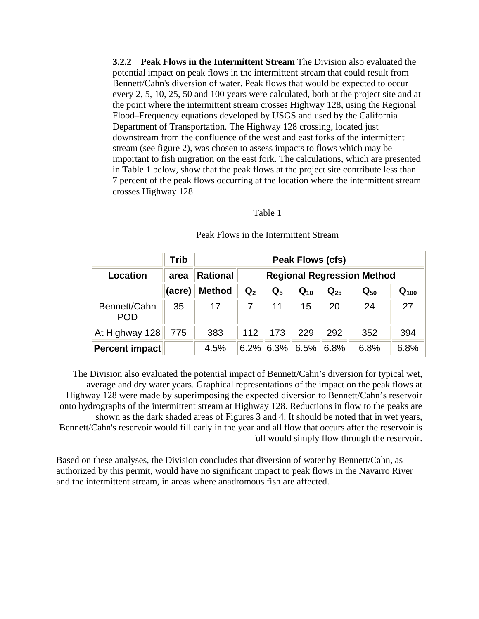**3.2.2 Peak Flows in the Intermittent Stream** The Division also evaluated the potential impact on peak flows in the intermittent stream that could result from Bennett/Cahn's diversion of water. Peak flows that would be expected to occur every 2, 5, 10, 25, 50 and 100 years were calculated, both at the project site and at the point where the intermittent stream crosses Highway 128, using the Regional Flood–Frequency equations developed by USGS and used by the California Department of Transportation. The Highway 128 crossing, located just downstream from the confluence of the west and east forks of the intermittent stream (see figure 2), was chosen to assess impacts to flows which may be important to fish migration on the east fork. The calculations, which are presented in Table 1 below, show that the peak flows at the project site contribute less than 7 percent of the peak flows occurring at the location where the intermittent stream crosses Highway 128.

#### Table 1

|                            | Trib   | <b>Peak Flows (cfs)</b>                              |                |       |          |                   |                |           |
|----------------------------|--------|------------------------------------------------------|----------------|-------|----------|-------------------|----------------|-----------|
| Location                   | area   | <b>Rational</b><br><b>Regional Regression Method</b> |                |       |          |                   |                |           |
|                            | (acre) | <b>Method</b>                                        | $\mathbf{Q}_2$ | $Q_5$ | $Q_{10}$ | $\mathbf{Q}_{25}$ | ${\bf Q_{50}}$ | $Q_{100}$ |
| Bennett/Cahn<br><b>POD</b> | 35     | 17                                                   |                | 11    | 15       | 20                | 24             | 27        |
| At Highway 128             | 775    | 383                                                  | 112            | 173   | 229      | 292               | 352            | 394       |
| Percent impact             |        | 4.5%                                                 | 6.2%           | 6.3%  | 6.5%     | 6.8%              | 6.8%           | 6.8%      |

#### Peak Flows in the Intermittent Stream

The Division also evaluated the potential impact of Bennett/Cahn's diversion for typical wet, average and dry water years. Graphical representations of the impact on the peak flows at Highway 128 were made by superimposing the expected diversion to Bennett/Cahn's reservoir onto hydrographs of the intermittent stream at Highway 128. Reductions in flow to the peaks are shown as the dark shaded areas of Figures 3 and 4. It should be noted that in wet years, Bennett/Cahn's reservoir would fill early in the year and all flow that occurs after the reservoir is full would simply flow through the reservoir.

Based on these analyses, the Division concludes that diversion of water by Bennett/Cahn, as authorized by this permit, would have no significant impact to peak flows in the Navarro River and the intermittent stream, in areas where anadromous fish are affected.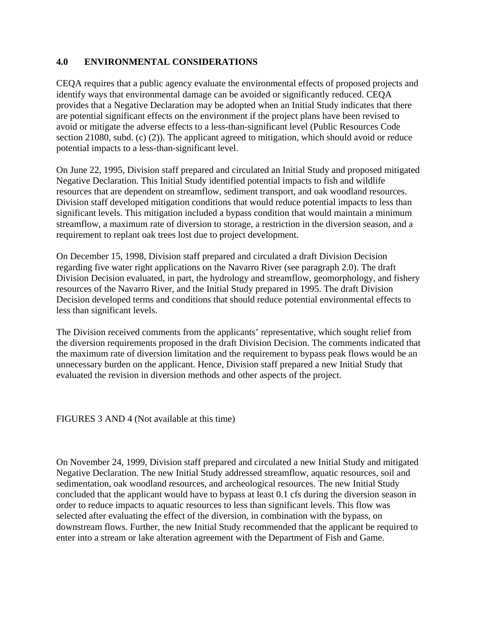## **4.0 ENVIRONMENTAL CONSIDERATIONS**

CEQA requires that a public agency evaluate the environmental effects of proposed projects and identify ways that environmental damage can be avoided or significantly reduced. CEQA provides that a Negative Declaration may be adopted when an Initial Study indicates that there are potential significant effects on the environment if the project plans have been revised to avoid or mitigate the adverse effects to a less-than-significant level (Public Resources Code section 21080, subd. (c) (2)). The applicant agreed to mitigation, which should avoid or reduce potential impacts to a less-than-significant level.

On June 22, 1995, Division staff prepared and circulated an Initial Study and proposed mitigated Negative Declaration. This Initial Study identified potential impacts to fish and wildlife resources that are dependent on streamflow, sediment transport, and oak woodland resources. Division staff developed mitigation conditions that would reduce potential impacts to less than significant levels. This mitigation included a bypass condition that would maintain a minimum streamflow, a maximum rate of diversion to storage, a restriction in the diversion season, and a requirement to replant oak trees lost due to project development.

On December 15, 1998, Division staff prepared and circulated a draft Division Decision regarding five water right applications on the Navarro River (see paragraph 2.0). The draft Division Decision evaluated, in part, the hydrology and streamflow, geomorphology, and fishery resources of the Navarro River, and the Initial Study prepared in 1995. The draft Division Decision developed terms and conditions that should reduce potential environmental effects to less than significant levels.

The Division received comments from the applicants' representative, which sought relief from the diversion requirements proposed in the draft Division Decision. The comments indicated that the maximum rate of diversion limitation and the requirement to bypass peak flows would be an unnecessary burden on the applicant. Hence, Division staff prepared a new Initial Study that evaluated the revision in diversion methods and other aspects of the project.

FIGURES 3 AND 4 (Not available at this time)

On November 24, 1999, Division staff prepared and circulated a new Initial Study and mitigated Negative Declaration. The new Initial Study addressed streamflow, aquatic resources, soil and sedimentation, oak woodland resources, and archeological resources. The new Initial Study concluded that the applicant would have to bypass at least 0.1 cfs during the diversion season in order to reduce impacts to aquatic resources to less than significant levels. This flow was selected after evaluating the effect of the diversion, in combination with the bypass, on downstream flows. Further, the new Initial Study recommended that the applicant be required to enter into a stream or lake alteration agreement with the Department of Fish and Game.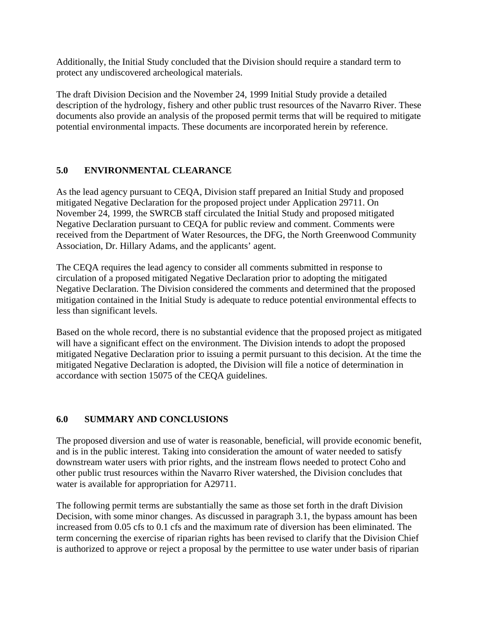Additionally, the Initial Study concluded that the Division should require a standard term to protect any undiscovered archeological materials.

The draft Division Decision and the November 24, 1999 Initial Study provide a detailed description of the hydrology, fishery and other public trust resources of the Navarro River. These documents also provide an analysis of the proposed permit terms that will be required to mitigate potential environmental impacts. These documents are incorporated herein by reference.

## **5.0 ENVIRONMENTAL CLEARANCE**

As the lead agency pursuant to CEQA, Division staff prepared an Initial Study and proposed mitigated Negative Declaration for the proposed project under Application 29711. On November 24, 1999, the SWRCB staff circulated the Initial Study and proposed mitigated Negative Declaration pursuant to CEQA for public review and comment. Comments were received from the Department of Water Resources, the DFG, the North Greenwood Community Association, Dr. Hillary Adams, and the applicants' agent.

The CEQA requires the lead agency to consider all comments submitted in response to circulation of a proposed mitigated Negative Declaration prior to adopting the mitigated Negative Declaration. The Division considered the comments and determined that the proposed mitigation contained in the Initial Study is adequate to reduce potential environmental effects to less than significant levels.

Based on the whole record, there is no substantial evidence that the proposed project as mitigated will have a significant effect on the environment. The Division intends to adopt the proposed mitigated Negative Declaration prior to issuing a permit pursuant to this decision. At the time the mitigated Negative Declaration is adopted, the Division will file a notice of determination in accordance with section 15075 of the CEQA guidelines.

## **6.0 SUMMARY AND CONCLUSIONS**

The proposed diversion and use of water is reasonable, beneficial, will provide economic benefit, and is in the public interest. Taking into consideration the amount of water needed to satisfy downstream water users with prior rights, and the instream flows needed to protect Coho and other public trust resources within the Navarro River watershed, the Division concludes that water is available for appropriation for A29711.

The following permit terms are substantially the same as those set forth in the draft Division Decision, with some minor changes. As discussed in paragraph 3.1, the bypass amount has been increased from 0.05 cfs to 0.1 cfs and the maximum rate of diversion has been eliminated. The term concerning the exercise of riparian rights has been revised to clarify that the Division Chief is authorized to approve or reject a proposal by the permittee to use water under basis of riparian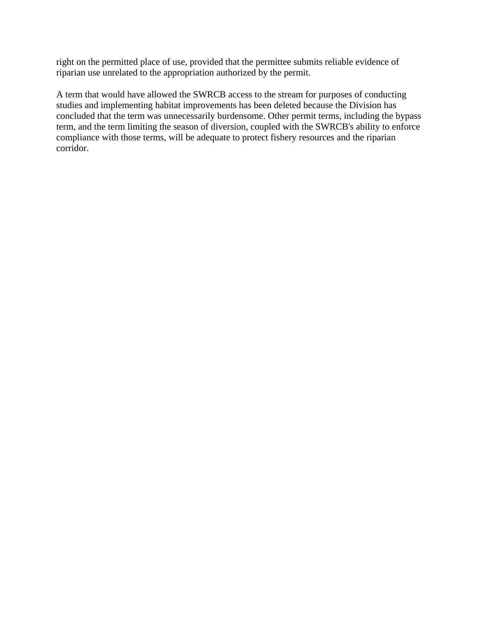right on the permitted place of use, provided that the permittee submits reliable evidence of riparian use unrelated to the appropriation authorized by the permit.

A term that would have allowed the SWRCB access to the stream for purposes of conducting studies and implementing habitat improvements has been deleted because the Division has concluded that the term was unnecessarily burdensome. Other permit terms, including the bypass term, and the term limiting the season of diversion, coupled with the SWRCB's ability to enforce compliance with those terms, will be adequate to protect fishery resources and the riparian corridor.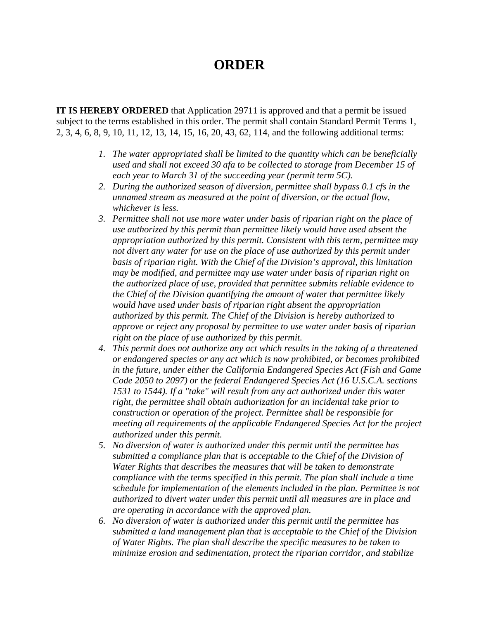## **ORDER**

**IT IS HEREBY ORDERED** that Application 29711 is approved and that a permit be issued subject to the terms established in this order. The permit shall contain Standard Permit Terms 1, 2, 3, 4, 6, 8, 9, 10, 11, 12, 13, 14, 15, 16, 20, 43, 62, 114, and the following additional terms:

- *1. The water appropriated shall be limited to the quantity which can be beneficially used and shall not exceed 30 afa to be collected to storage from December 15 of each year to March 31 of the succeeding year (permit term 5C).*
- *2. During the authorized season of diversion, permittee shall bypass 0.1 cfs in the unnamed stream as measured at the point of diversion, or the actual flow, whichever is less.*
- *3. Permittee shall not use more water under basis of riparian right on the place of use authorized by this permit than permittee likely would have used absent the appropriation authorized by this permit. Consistent with this term, permittee may not divert any water for use on the place of use authorized by this permit under basis of riparian right. With the Chief of the Division's approval, this limitation may be modified, and permittee may use water under basis of riparian right on the authorized place of use, provided that permittee submits reliable evidence to the Chief of the Division quantifying the amount of water that permittee likely would have used under basis of riparian right absent the appropriation authorized by this permit. The Chief of the Division is hereby authorized to approve or reject any proposal by permittee to use water under basis of riparian right on the place of use authorized by this permit.*
- *4. This permit does not authorize any act which results in the taking of a threatened or endangered species or any act which is now prohibited, or becomes prohibited in the future, under either the California Endangered Species Act (Fish and Game Code 2050 to 2097) or the federal Endangered Species Act (16 U.S.C.A. sections 1531 to 1544). If a "take" will result from any act authorized under this water right, the permittee shall obtain authorization for an incidental take prior to construction or operation of the project. Permittee shall be responsible for meeting all requirements of the applicable Endangered Species Act for the project authorized under this permit.*
- *5. No diversion of water is authorized under this permit until the permittee has submitted a compliance plan that is acceptable to the Chief of the Division of Water Rights that describes the measures that will be taken to demonstrate compliance with the terms specified in this permit. The plan shall include a time schedule for implementation of the elements included in the plan. Permittee is not authorized to divert water under this permit until all measures are in place and are operating in accordance with the approved plan.*
- *6. No diversion of water is authorized under this permit until the permittee has submitted a land management plan that is acceptable to the Chief of the Division of Water Rights. The plan shall describe the specific measures to be taken to minimize erosion and sedimentation, protect the riparian corridor, and stabilize*